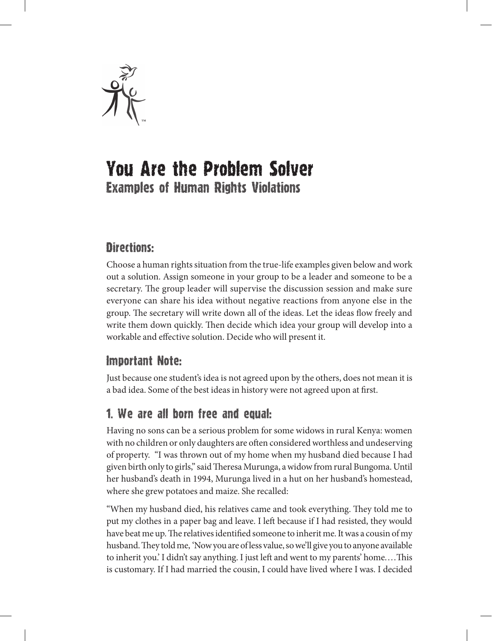

# You Are the Problem Solver Examples of Human Rights Violations

## Directions:

Choose a human rights situation from the true-life examples given below and work out a solution. Assign someone in your group to be a leader and someone to be a secretary. The group leader will supervise the discussion session and make sure everyone can share his idea without negative reactions from anyone else in the group. The secretary will write down all of the ideas. Let the ideas flow freely and write them down quickly. Then decide which idea your group will develop into a workable and effective solution. Decide who will present it.

#### Important Note:

Just because one student's idea is not agreed upon by the others, does not mean it is a bad idea. Some of the best ideas in history were not agreed upon at first.

## 1. We are all born free and equal:

Having no sons can be a serious problem for some widows in rural Kenya: women with no children or only daughters are often considered worthless and undeserving of property. "I was thrown out of my home when my husband died because I had given birth only to girls," said Theresa Murunga, a widow from rural Bungoma. Until her husband's death in 1994, Murunga lived in a hut on her husband's homestead, where she grew potatoes and maize. She recalled:

"When my husband died, his relatives came and took everything. They told me to put my clothes in a paper bag and leave. I left because if I had resisted, they would have beat me up. The relatives identified someone to inherit me. It was a cousin of my husband. They told me, 'Now you are of less value, so we'll give you to anyone available to inherit you.' I didn't say anything. I just left and went to my parents' home....This is customary. If I had married the cousin, I could have lived where I was. I decided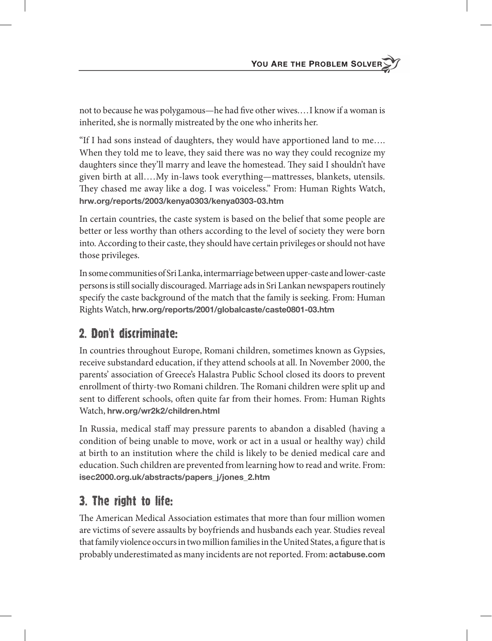not to because he was polygamous—he had five other wives.... I know if a woman is inherited, she is normally mistreated by the one who inherits her.

"If I had sons instead of daughters, they would have apportioned land to me…. When they told me to leave, they said there was no way they could recognize my daughters since they'll marry and leave the homestead. They said I shouldn't have given birth at all… . My in-laws took everything—mattresses, blankets, utensils. They chased me away like a dog. I was voiceless." From: Human Rights Watch, **hrw .org/reports/2003/kenya0303/kenya0303-03 .htm**

In certain countries, the caste system is based on the belief that some people are better or less worthy than others according to the level of society they were born into. According to their caste, they should have certain privileges or should not have those privileges.

In some communities of Sri Lanka, intermarriage between upper-caste and lower-caste persons is still socially discouraged. Marriage ads in Sri Lankan newspapers routinely specify the caste background of the match that the family is seeking. From: Human Rights Watch, **hrw .org/reports/2001/globalcaste/caste0801-03 .htm**

#### 2. Don't discriminate:

In countries throughout Europe, Romani children, sometimes known as Gypsies, receive substandard education, if they attend schools at all. In November 2000, the parents' association of Greece's Halastra Public School closed its doors to prevent enrollment of thirty-two Romani children. The Romani children were split up and sent to different schools, often quite far from their homes. From: Human Rights Watch, **hrw .org/wr2k2/children .html**

In Russia, medical staff may pressure parents to abandon a disabled (having a condition of being unable to move, work or act in a usual or healthy way) child at birth to an institution where the child is likely to be denied medical care and education. Such children are prevented from learning how to read and write. From: **isec2000 .org .uk/abstracts/papers\_j/jones\_2 .htm** 

#### 3. The right to life:

The American Medical Association estimates that more than four million women are victims of severe assaults by boyfriends and husbands each year. Studies reveal that family violence occurs in two million families in the United States, a figure that is probably underestimated as many incidents are not reported. From: **actabuse .com**